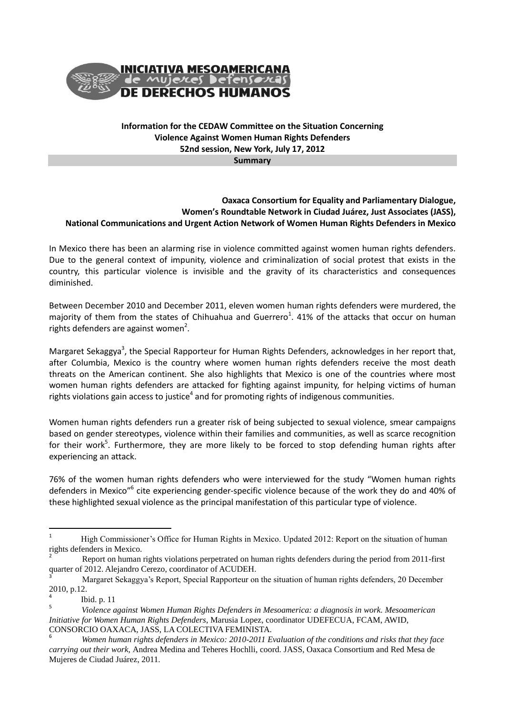

## **Information for the CEDAW Committee on the Situation Concerning Violence Against Women Human Rights Defenders 52nd session, New York, July 17, 2012**

**Summary** 

## **Oaxaca Consortium for Equality and Parliamentary Dialogue, Women's Roundtable Network in Ciudad Juárez, Just Associates (JASS), National Communications and Urgent Action Network of Women Human Rights Defenders in Mexico**

In Mexico there has been an alarming rise in violence committed against women human rights defenders. Due to the general context of impunity, violence and criminalization of social protest that exists in the country, this particular violence is invisible and the gravity of its characteristics and consequences diminished.

Between December 2010 and December 2011, eleven women human rights defenders were murdered, the majority of them from the states of Chihuahua and Guerrero<sup>1</sup>. 41% of the attacks that occur on human rights defenders are against women<sup>2</sup>.

Margaret Sekaggya<sup>3</sup>, the Special Rapporteur for Human Rights Defenders, acknowledges in her report that, after Columbia, Mexico is the country where women human rights defenders receive the most death threats on the American continent. She also highlights that Mexico is one of the countries where most women human rights defenders are attacked for fighting against impunity, for helping victims of human rights violations gain access to justice $^4$  and for promoting rights of indigenous communities.

Women human rights defenders run a greater risk of being subjected to sexual violence, smear campaigns based on gender stereotypes, violence within their families and communities, as well as scarce recognition for their work<sup>5</sup>. Furthermore, they are more likely to be forced to stop defending human rights after experiencing an attack.

76% of the women human rights defenders who were interviewed for the study "Women human rights defenders in Mexico"<sup>6</sup> cite experiencing gender-specific violence because of the work they do and 40% of these highlighted sexual violence as the principal manifestation of this particular type of violence.

 $\overline{a}$ 

<sup>&</sup>lt;sup>1</sup> High Commissioner's Office for Human Rights in Mexico. Updated 2012: Report on the situation of human rights defenders in Mexico.

<sup>2</sup> Report on human rights violations perpetrated on human rights defenders during the period from 2011-first quarter of 2012. Alejandro Cerezo, coordinator of ACUDEH.

<sup>3</sup> Margaret Sekaggya's Report, Special Rapporteur on the situation of human rights defenders, 20 December 2010, p.12.

<sup>4</sup> Ibid. p. 11

<sup>5</sup> *Violence against Women Human Rights Defenders in Mesoamerica: a diagnosis in work. Mesoamerican Initiative for Women Human Rights Defenders*, Marusia Lopez, coordinator UDEFECUA, FCAM, AWID, CONSORCIO OAXACA, JASS, LA COLECTIVA FEMINISTA.

<sup>6</sup> *Women human rights defenders in Mexico: 2010-2011 Evaluation of the conditions and risks that they face carrying out their work,* Andrea Medina and Teheres Hochlli, coord. JASS, Oaxaca Consortium and Red Mesa de Mujeres de Ciudad Juárez, 2011.